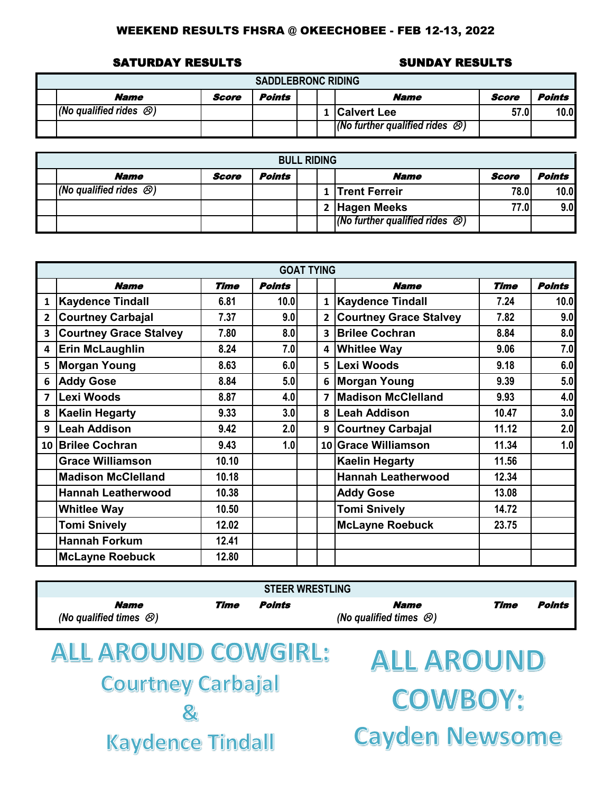### SATURDAY RESULTS SUNDAY RESULTS

| <b>SADDLEBRONC RIDING</b>           |       |        |  |  |                                              |       |        |  |  |  |  |
|-------------------------------------|-------|--------|--|--|----------------------------------------------|-------|--------|--|--|--|--|
| <b>Name</b>                         | Score | Points |  |  | Name                                         | Score | Points |  |  |  |  |
| $ $ (No qualified rides $\otimes$ ) |       |        |  |  | 1 Calvert Lee                                | 57.0  | 10.0   |  |  |  |  |
|                                     |       |        |  |  | (No further qualified rides $\mathcal{O}(n)$ |       |        |  |  |  |  |

| <b>BULL RIDING</b>                  |       |        |  |  |                                              |       |               |  |  |  |  |  |
|-------------------------------------|-------|--------|--|--|----------------------------------------------|-------|---------------|--|--|--|--|--|
| <b>Name</b>                         | Score | Points |  |  | <b>Name</b>                                  | Score | <b>Points</b> |  |  |  |  |  |
| $ $ (No qualified rides $\otimes$ ) |       |        |  |  | 1 Trent Ferreir                              | 78.0  | 10.0          |  |  |  |  |  |
|                                     |       |        |  |  | 2 Hagen Meeks                                | 77.01 | 9.0           |  |  |  |  |  |
|                                     |       |        |  |  | (No further qualified rides $\mathcal{O}(n)$ |       |               |  |  |  |  |  |

|                         |                               |       |               | <b>GOAT TYING</b> |                         |                               |             |               |
|-------------------------|-------------------------------|-------|---------------|-------------------|-------------------------|-------------------------------|-------------|---------------|
|                         | <b>Name</b>                   | Time  | <b>Points</b> |                   |                         | <b>Name</b>                   | <b>Time</b> | <b>Points</b> |
| $\mathbf{1}$            | <b>Kaydence Tindall</b>       | 6.81  | 10.0          |                   | $\mathbf{1}$            | <b>Kaydence Tindall</b>       | 7.24        | 10.0          |
| $\overline{2}$          | <b>Courtney Carbajal</b>      | 7.37  | 9.0           |                   | $\overline{2}$          | <b>Courtney Grace Stalvey</b> | 7.82        | 9.0           |
| 3                       | <b>Courtney Grace Stalvey</b> | 7.80  | 8.0           |                   | 3 <sup>1</sup>          | <b>Brilee Cochran</b>         | 8.84        | 8.0           |
| 4                       | <b>Erin McLaughlin</b>        | 8.24  | 7.0           |                   | 4                       | <b>Whitlee Way</b>            | 9.06        | 7.0           |
| 5                       | <b>Morgan Young</b>           | 8.63  | 6.0           |                   | 5 I                     | <b>Lexi Woods</b>             | 9.18        | 6.0           |
| 6                       | <b>Addy Gose</b>              | 8.84  | 5.0           |                   | 6                       | <b>Morgan Young</b>           | 9.39        | 5.0           |
| $\overline{\mathbf{z}}$ | Lexi Woods                    | 8.87  | 4.0           |                   | $\overline{\mathbf{z}}$ | <b>Madison McClelland</b>     | 9.93        | 4.0           |
| 8                       | <b>Kaelin Hegarty</b>         | 9.33  | 3.0           |                   | 8                       | <b>Leah Addison</b>           | 10.47       | 3.0           |
| 9                       | Leah Addison                  | 9.42  | 2.0           |                   | 9                       | <b>Courtney Carbajal</b>      | 11.12       | 2.0           |
|                         | 10 Brilee Cochran             | 9.43  | 1.0           |                   |                         | 10 Grace Williamson           | 11.34       | 1.0           |
|                         | <b>Grace Williamson</b>       | 10.10 |               |                   |                         | <b>Kaelin Hegarty</b>         | 11.56       |               |
|                         | <b>Madison McClelland</b>     | 10.18 |               |                   |                         | <b>Hannah Leatherwood</b>     | 12.34       |               |
|                         | <b>Hannah Leatherwood</b>     | 10.38 |               |                   |                         | <b>Addy Gose</b>              | 13.08       |               |
|                         | <b>Whitlee Way</b>            | 10.50 |               |                   |                         | <b>Tomi Snively</b>           | 14.72       |               |
|                         | <b>Tomi Snively</b>           | 12.02 |               |                   |                         | <b>McLayne Roebuck</b>        | 23.75       |               |
|                         | <b>Hannah Forkum</b>          | 12.41 |               |                   |                         |                               |             |               |
|                         | <b>McLayne Roebuck</b>        | 12.80 |               |                   |                         |                               |             |               |

| <b>Name</b><br>(No qualified times $\mathcal{B}$ ) | Time | Points | <b>Name</b><br>(No qualified times $\mathcal{B}$ ) | Time | Points |
|----------------------------------------------------|------|--------|----------------------------------------------------|------|--------|

# **ALL AROUND COWGIRL: Courtney Carbajal**  $\mathcal{R}_1$ **Kaydence Tindall**

**ALL AROUND COWBOY: Cayden Newsome**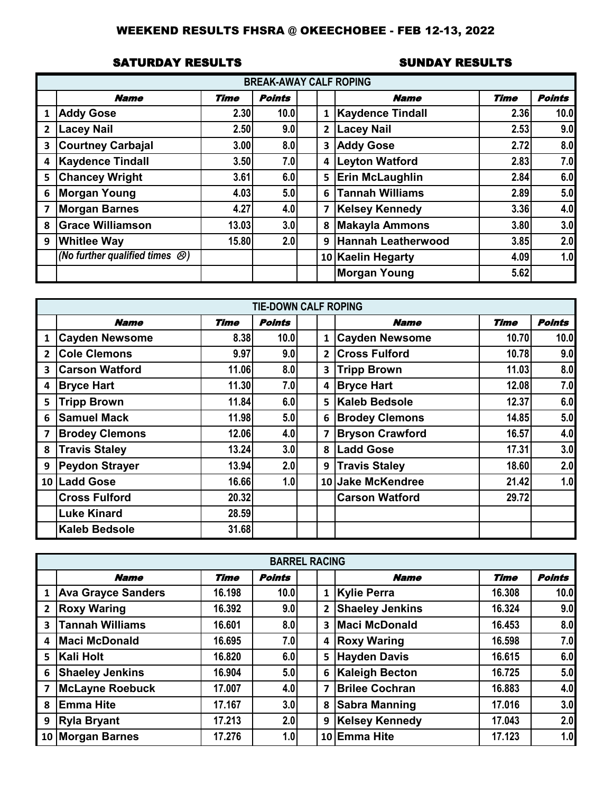### SATURDAY RESULTS SUNDAY RESULTS

|                         |                                                |             | <b>BREAK-AWAY CALF ROPING</b> |              |                           |             |               |
|-------------------------|------------------------------------------------|-------------|-------------------------------|--------------|---------------------------|-------------|---------------|
|                         | <b>Name</b>                                    | <b>Time</b> | <b>Points</b>                 |              | <b>Name</b>               | <b>Time</b> | <b>Points</b> |
| 1                       | <b>Addy Gose</b>                               | 2.30        | 10.0                          |              | <b>Kaydence Tindall</b>   | 2.36        | 10.0          |
| $\overline{2}$          | <b>Lacey Nail</b>                              | 2.50        | 9.0                           | $\mathbf{2}$ | <b>Lacey Nail</b>         | 2.53        | 9.0           |
| 3                       | <b>Courtney Carbajal</b>                       | 3.00        | 8.0                           | 3            | <b>Addy Gose</b>          | 2.72        | 8.0           |
| 4                       | <b>Kaydence Tindall</b>                        | 3.50        | 7.0                           | 4            | <b>Leyton Watford</b>     | 2.83        | 7.0           |
| 5                       | <b>Chancey Wright</b>                          | 3.61        | 6.0                           |              | 5 Erin McLaughlin         | 2.84        | 6.0           |
| 6                       | <b>Morgan Young</b>                            | 4.03        | 5.0                           | 6            | Tannah Williams           | 2.89        | 5.0           |
| $\overline{\mathbf{z}}$ | <b>Morgan Barnes</b>                           | 4.27        | 4.0                           |              | 7   Kelsey Kennedy        | 3.36        | 4.0           |
| 8                       | <b>Grace Williamson</b>                        | 13.03       | 3.0                           | 8            | <b>Makayla Ammons</b>     | 3.80        | 3.0           |
| 9                       | <b>Whitlee Way</b>                             | 15.80       | 2.0                           | 9            | <b>Hannah Leatherwood</b> | 3.85        | 2.0           |
|                         | (No further qualified times $\bigcircled{S}$ ) |             |                               |              | 10 Kaelin Hegarty         | 4.09        | 1.0           |
|                         |                                                |             |                               |              | <b>Morgan Young</b>       | 5.62        |               |

|                         |                       |       | <b>TIE-DOWN CALF ROPING</b> |              |                        |             |               |
|-------------------------|-----------------------|-------|-----------------------------|--------------|------------------------|-------------|---------------|
|                         | <b>Name</b>           | Time  | <b>Points</b>               |              | <b>Name</b>            | <b>Time</b> | <b>Points</b> |
| 1                       | <b>Cayden Newsome</b> | 8.38  | 10.0                        | 1            | <b>Cayden Newsome</b>  | 10.70       | 10.0          |
| $\overline{2}$          | <b>Cole Clemons</b>   | 9.97  | 9.0                         | $\mathbf{2}$ | <b>Cross Fulford</b>   | 10.78       | 9.0           |
| 3                       | <b>Carson Watford</b> | 11.06 | 8.0                         | 3            | <b>Tripp Brown</b>     | 11.03       | 8.0           |
| 4                       | <b>Bryce Hart</b>     | 11.30 | 7.0                         | 4            | <b>Bryce Hart</b>      | 12.08       | 7.0           |
| 5                       | <b>Tripp Brown</b>    | 11.84 | 6.0                         |              | 5 Kaleb Bedsole        | 12.37       | 6.0           |
| 6                       | <b>Samuel Mack</b>    | 11.98 | 5.0                         | 6            | <b>Brodey Clemons</b>  | 14.85       | 5.0           |
| $\overline{\mathbf{z}}$ | <b>Brodey Clemons</b> | 12.06 | 4.0                         | 7            | <b>Bryson Crawford</b> | 16.57       | 4.0           |
| 8                       | <b>Travis Staley</b>  | 13.24 | 3.0                         | 8            | <b>Ladd Gose</b>       | 17.31       | 3.0           |
| 9                       | <b>Peydon Strayer</b> | 13.94 | 2.0                         | 9            | <b>Travis Staley</b>   | 18.60       | 2.0           |
|                         | 10 Ladd Gose          | 16.66 | 1.0                         |              | 10 Jake McKendree      | 21.42       | 1.0           |
|                         | <b>Cross Fulford</b>  | 20.32 |                             |              | <b>Carson Watford</b>  | 29.72       |               |
|                         | <b>Luke Kinard</b>    | 28.59 |                             |              |                        |             |               |
|                         | <b>Kaleb Bedsole</b>  | 31.68 |                             |              |                        |             |               |

|                         |                        |             | <b>BARREL RACING</b> |                |                        |             |               |
|-------------------------|------------------------|-------------|----------------------|----------------|------------------------|-------------|---------------|
|                         | <b>Name</b>            | <b>Time</b> | <b>Points</b>        |                | <b>Name</b>            | <b>Time</b> | <b>Points</b> |
|                         | 1 Ava Grayce Sanders   | 16.198      | 10.0                 | $\mathbf{1}$   | <b>Kylie Perra</b>     | 16.308      | 10.0          |
| $\overline{2}$          | <b>Roxy Waring</b>     | 16.392      | 9.0                  | $\mathbf{2}$   | <b>Shaeley Jenkins</b> | 16.324      | 9.0           |
| $\overline{\mathbf{3}}$ | <b>Tannah Williams</b> | 16.601      | 8.0                  | 3              | <b>Maci McDonald</b>   | 16.453      | 8.0           |
| 4                       | <b>Maci McDonald</b>   | 16.695      | 7.0                  | 4              | <b>Roxy Waring</b>     | 16.598      | 7.0           |
|                         | 5 Kali Holt            | 16.820      | 6.0                  |                | 5 Hayden Davis         | 16.615      | 6.0           |
| 6                       | <b>Shaeley Jenkins</b> | 16.904      | 5.0                  |                | 6 Kaleigh Becton       | 16.725      | 5.0           |
| $\overline{7}$          | <b>McLayne Roebuck</b> | 17.007      | 4.0                  | $\overline{7}$ | <b>Brilee Cochran</b>  | 16.883      | 4.0           |
| 8                       | <b>Emma Hite</b>       | 17.167      | 3.0                  | 8              | <b>Sabra Manning</b>   | 17.016      | 3.0           |
| 9                       | <b>Ryla Bryant</b>     | 17.213      | 2.0                  | 9              | <b>Kelsey Kennedy</b>  | 17.043      | 2.0           |
|                         | 10 Morgan Barnes       | 17.276      | 1.0                  |                | 10 Emma Hite           | 17.123      | 1.0           |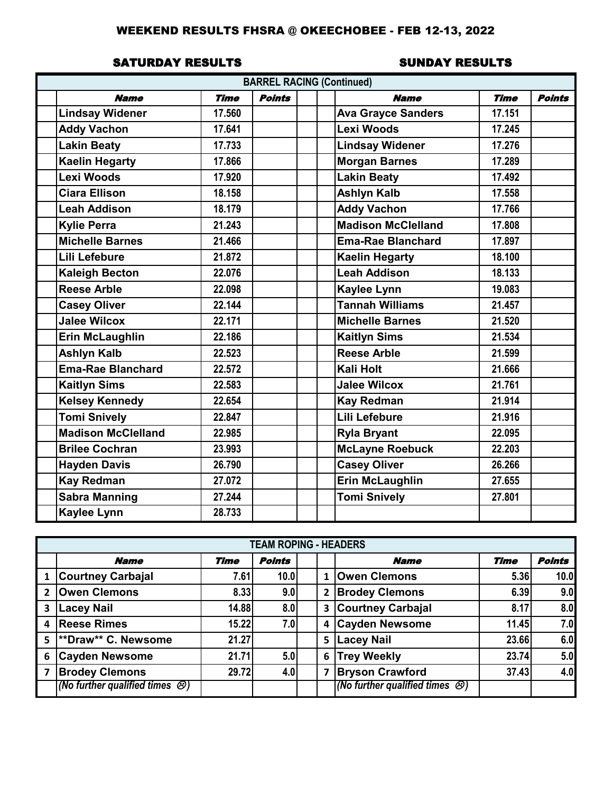### SATURDAY RESULTS SUNDAY RESULTS

|                           |             | <b>BARREL RACING (Continued)</b> |                           |             |               |
|---------------------------|-------------|----------------------------------|---------------------------|-------------|---------------|
| <b>Name</b>               | <b>Time</b> | <b>Points</b>                    | <b>Name</b>               | <b>Time</b> | <b>Points</b> |
| <b>Lindsay Widener</b>    | 17.560      |                                  | <b>Ava Grayce Sanders</b> | 17.151      |               |
| <b>Addy Vachon</b>        | 17.641      |                                  | <b>Lexi Woods</b>         | 17.245      |               |
| Lakin Beaty               | 17.733      |                                  | <b>Lindsay Widener</b>    | 17.276      |               |
| <b>Kaelin Hegarty</b>     | 17.866      |                                  | <b>Morgan Barnes</b>      | 17.289      |               |
| Lexi Woods                | 17.920      |                                  | <b>Lakin Beaty</b>        | 17.492      |               |
| <b>Ciara Ellison</b>      | 18.158      |                                  | <b>Ashlyn Kalb</b>        | 17.558      |               |
| <b>Leah Addison</b>       | 18.179      |                                  | <b>Addy Vachon</b>        | 17.766      |               |
| <b>Kylie Perra</b>        | 21.243      |                                  | <b>Madison McClelland</b> | 17,808      |               |
| <b>Michelle Barnes</b>    | 21.466      |                                  | <b>Ema-Rae Blanchard</b>  | 17.897      |               |
| Lili Lefebure             | 21.872      |                                  | <b>Kaelin Hegarty</b>     | 18.100      |               |
| <b>Kaleigh Becton</b>     | 22.076      |                                  | <b>Leah Addison</b>       | 18.133      |               |
| <b>Reese Arble</b>        | 22.098      |                                  | <b>Kaylee Lynn</b>        | 19.083      |               |
| <b>Casey Oliver</b>       | 22.144      |                                  | <b>Tannah Williams</b>    | 21.457      |               |
| <b>Jalee Wilcox</b>       | 22.171      |                                  | <b>Michelle Barnes</b>    | 21.520      |               |
| <b>Erin McLaughlin</b>    | 22.186      |                                  | <b>Kaitlyn Sims</b>       | 21.534      |               |
| <b>Ashlyn Kalb</b>        | 22.523      |                                  | <b>Reese Arble</b>        | 21.599      |               |
| <b>Ema-Rae Blanchard</b>  | 22.572      |                                  | <b>Kali Holt</b>          | 21.666      |               |
| <b>Kaitlyn Sims</b>       | 22.583      |                                  | <b>Jalee Wilcox</b>       | 21.761      |               |
| <b>Kelsey Kennedy</b>     | 22.654      |                                  | <b>Kay Redman</b>         | 21.914      |               |
| <b>Tomi Snively</b>       | 22.847      |                                  | Lili Lefebure             | 21.916      |               |
| <b>Madison McClelland</b> | 22.985      |                                  | <b>Ryla Bryant</b>        | 22.095      |               |
| <b>Brilee Cochran</b>     | 23.993      |                                  | <b>McLayne Roebuck</b>    | 22.203      |               |
| <b>Hayden Davis</b>       | 26.790      |                                  | <b>Casey Oliver</b>       | 26.266      |               |
| <b>Kay Redman</b>         | 27.072      |                                  | <b>Erin McLaughlin</b>    | 27.655      |               |
| <b>Sabra Manning</b>      | 27.244      |                                  | <b>Tomi Snively</b>       | 27.801      |               |
| <b>Kaylee Lynn</b>        | 28.733      |                                  |                           |             |               |

|                |                                          |             | <b>TEAM ROPING - HEADERS</b> |                |                                              |             |               |
|----------------|------------------------------------------|-------------|------------------------------|----------------|----------------------------------------------|-------------|---------------|
|                | <b>Name</b>                              | <b>Time</b> | <b>Points</b>                |                | <b>Name</b>                                  | <b>Time</b> | <b>Points</b> |
| 1              | <b>Courtney Carbajal</b>                 | 7.61        | 10.0                         | 1              | <b>Owen Clemons</b>                          | 5.36        | 10.0          |
| $\overline{2}$ | <b>Owen Clemons</b>                      | 8.33        | 9.0                          | $\overline{2}$ | <b>Brodey Clemons</b>                        | 6.39        | 9.0           |
| 3              | <b>Lacey Nail</b>                        | 14.88       | 8.0                          | 3              | <b>Courtney Carbajal</b>                     | 8.17        | 8.0           |
| 4              | <b>Reese Rimes</b>                       | 15.22       | 7.0                          | 4              | <b>Cayden Newsome</b>                        | 11.45       | 7.0           |
| 5              | **Draw** C. Newsome                      | 21.27       |                              | 5              | <b>Lacey Nail</b>                            | 23.66       | 6.0           |
| 6              | <b>Cayden Newsome</b>                    | 21.71       | 5.0                          | 6              | <b>Trey Weekly</b>                           | 23.74       | 5.0           |
| $\overline{7}$ | <b>Brodey Clemons</b>                    | 29.72       | 4.0                          | 7              | <b>Bryson Crawford</b>                       | 37.43       | 4.0           |
|                | (No further qualified times $\bigcirc$ ) |             |                              |                | (No further qualified times $\mathcal{O}(n)$ |             |               |